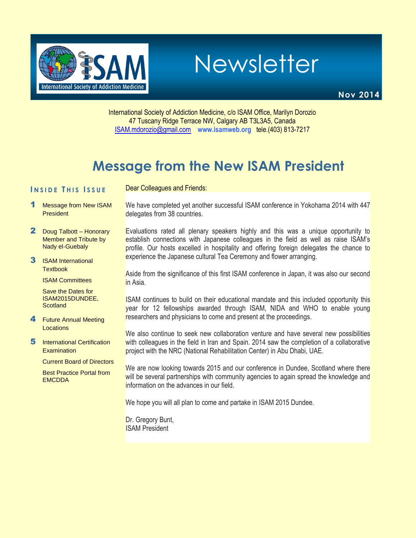

Newsletter

**Nov 2014**

International Society of Addiction Medicine, c/o ISAM Office, Marilyn Dorozio 47 Tuscany Ridge Terrace NW, Calgary AB T3L3A5, Canada [ISAM.mdorozio@gmail.com](mailto:office@isamweb.com/mdorozio@shaw.ca) **www.isamweb.org** tele.(403) 813-7217

# **Message from the New ISAM President**

Dear Colleagues and Friends:

### **I N S I D E T H I S I S S U E**

- 1 Message from New ISAM **President**
- 2 Doug Talbott Honorary Member and Tribute by Nady el-Guebaly
- 3 ISAM International **Textbook**

ISAM Committees

Save the Dates for ISAM2015DUNDEE, **Scotland** 

- 4 Future Annual Meeting **Locations**
- **5** International Certification **Examination** 
	- Current Board of Directors

Best Practice Portal from **EMCDDA** 

We have completed yet another successful ISAM conference in Yokohama 2014 with 447 delegates from 38 countries.

Evaluations rated all plenary speakers highly and this was a unique opportunity to establish connections with Japanese colleagues in the field as well as raise ISAM's profile. Our hosts excelled in hospitality and offering foreign delegates the chance to experience the Japanese cultural Tea Ceremony and flower arranging.

Aside from the significance of this first ISAM conference in Japan, it was also our second in Asia.

ISAM continues to build on their educational mandate and this included opportunity this year for 12 fellowships awarded through ISAM, NIDA and WHO to enable young researchers and physicians to come and present at the proceedings.

We also continue to seek new collaboration venture and have several new possibilities with colleagues in the field in Iran and Spain. 2014 saw the completion of a collaborative project with the NRC (National Rehabilitation Center) in Abu Dhabi, UAE.

We are now looking towards 2015 and our conference in Dundee, Scotland where there will be several partnerships with community agencies to again spread the knowledge and information on the advances in our field.

We hope you will all plan to come and partake in ISAM 2015 Dundee.

Dr. Gregory Bunt, ISAM President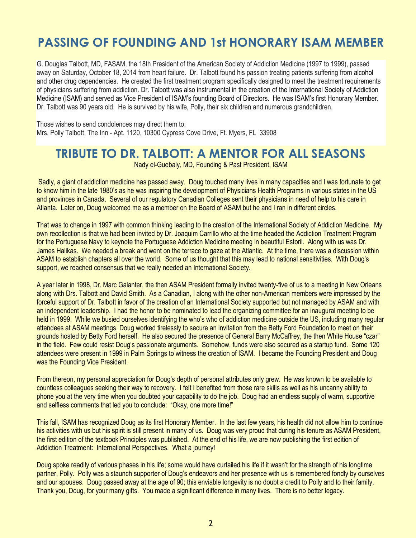# **PASSING OF FOUNDING AND 1st HONORARY ISAM MEMBER**

G. Douglas Talbott, MD, FASAM, the 18th President of the American Society of Addiction Medicine (1997 to 1999), passed away on Saturday, October 18, 2014 from heart failure. Dr. Talbott found his passion treating patients suffering from alcohol and other drug dependencies. He created the first treatment program specifically designed to meet the treatment requirements of physicians suffering from addiction. Dr. Talbott was also instrumental in the creation of the International Society of Addiction Medicine (ISAM) and served as Vice President of ISAM's founding Board of Directors. He was ISAM's first Honorary Member. Dr. Talbott was 90 years old. He is survived by his wife, Polly, their six children and numerous grandchildren.

Those wishes to send condolences may direct them to: Mrs. Polly Talbott, The Inn - Apt. 1120, 10300 Cypress Cove Drive, Ft. Myers, FL 33908

### **TRIBUTE TO DR. TALBOTT: A MENTOR FOR ALL SEASONS**

Nady el-Guebaly, MD, Founding & Past President, ISAM

Sadly, a giant of addiction medicine has passed away. Doug touched many lives in many capacities and I was fortunate to get to know him in the late 1980's as he was inspiring the development of Physicians Health Programs in various states in the US and provinces in Canada. Several of our regulatory Canadian Colleges sent their physicians in need of help to his care in Atlanta. Later on, Doug welcomed me as a member on the Board of ASAM but he and I ran in different circles.

That was to change in 1997 with common thinking leading to the creation of the International Society of Addiction Medicine. My own recollection is that we had been invited by Dr. Joaquim Carrillo who at the time headed the Addiction Treatment Program for the Portuguese Navy to keynote the Portuguese Addiction Medicine meeting in beautiful Estoril. Along with us was Dr. James Halikas. We needed a break and went on the terrace to gaze at the Atlantic. At the time, there was a discussion within ASAM to establish chapters all over the world. Some of us thought that this may lead to national sensitivities. With Doug's support, we reached consensus that we really needed an International Society.

A year later in 1998, Dr. Marc Galanter, the then ASAM President formally invited twenty-five of us to a meeting in New Orleans along with Drs. Talbott and David Smith. As a Canadian, I along with the other non-American members were impressed by the forceful support of Dr. Talbott in favor of the creation of an International Society supported but not managed by ASAM and with an independent leadership. I had the honor to be nominated to lead the organizing committee for an inaugural meeting to be held in 1999. While we busied ourselves identifying the who's who of addiction medicine outside the US, including many regular attendees at ASAM meetings, Doug worked tirelessly to secure an invitation from the Betty Ford Foundation to meet on their grounds hosted by Betty Ford herself. He also secured the presence of General Barry McCaffrey, the then White House "czar" in the field. Few could resist Doug's passionate arguments. Somehow, funds were also secured as a startup fund. Some 120 attendees were present in 1999 in Palm Springs to witness the creation of ISAM. I became the Founding President and Doug was the Founding Vice President.

From thereon, my personal appreciation for Doug's depth of personal attributes only grew. He was known to be available to countless colleagues seeking their way to recovery. I felt I benefited from those rare skills as well as his uncanny ability to phone you at the very time when you doubted your capability to do the job. Doug had an endless supply of warm, supportive and selfless comments that led you to conclude: "Okay, one more time!"

This fall, ISAM has recognized Doug as its first Honorary Member. In the last few years, his health did not allow him to continue his activities with us but his spirit is still present in many of us. Doug was very proud that during his tenure as ASAM President, the first edition of the textbook Principles was published. At the end of his life, we are now publishing the first edition of Addiction Treatment: International Perspectives. What a journey!

Doug spoke readily of various phases in his life; some would have curtailed his life if it wasn't for the strength of his longtime partner, Polly. Polly was a staunch supporter of Doug's endeavors and her presence with us is remembered fondly by ourselves and our spouses. Doug passed away at the age of 90; this enviable longevity is no doubt a credit to Polly and to their family. Thank you, Doug, for your many gifts. You made a significant difference in many lives. There is no better legacy.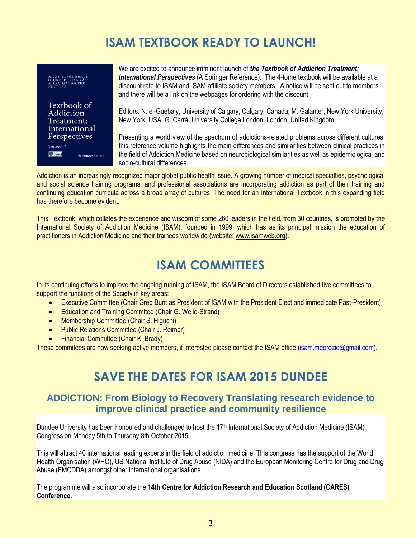## **ISAM TEXTBOOK READY TO LAUNCH!**

NADY EL-GUEBALY<br>GIUSEPPE CARRÁ<br>MARC GALANTER<br>*EDITORS* 

Textbook of Addiction Treatment: International Perspectives Volume 1 **O**TSAM SpringerReference

We are excited to announce imminent launch of *the Textbook of Addiction Treatment: International Perspectives* (A Springer Reference). The 4-tome textbook will be available at a discount rate to ISAM and ISAM affiliate society members. A notice will be sent out to members and there will be a link on the webpages for ordering with the discount.

Editors: N. el-Guebaly, University of Calgary, Calgary, Canada; M. Galanter, New York University, New York, USA; G. Carrà, University College London, London, United Kingdom

Presenting a world view of the spectrum of addictions-related problems across different cultures, this reference volume highlights the main differences and similarities between clinical practices in the field of Addiction Medicine based on neurobiological similarities as well as epidemiological and socio-cultural differences.

Addiction is an increasingly recognized major global public health issue. A growing number of medical specialties, psychological and social science training programs, and professional associations are incorporating addiction as part of their training and continuing education curricula across a broad array of cultures. The need for an International Textbook in this expanding field has therefore become evident.

This Textbook, which collates the experience and wisdom of some 260 leaders in the field, from 30 countries, is promoted by the International Society of Addiction Medicine (ISAM), founded in 1999, which has as its principal mission the education of practitioners in Addiction Medicine and their trainees worldwide (website: [www.isamweb.org\)](http://www.isamweb.org/).

## **ISAM COMMITTEES**

In its continuing efforts to improve the ongoing running of ISAM, the ISAM Board of Directors established five committees to support the functions of the Society in key areas:

- **Executive Committee (Chair Greg Bunt as President of ISAM with the President Elect and immedicate Past-President)**
- Education and Training Commitee (Chair G. Welle-Strand)
- Membership Committee (Chair S. Higuchi)
- Public Relations Committee (Chair J. Reimer)
- Financial Committee (Chair K. Brady)

These commitees are now seeking active members, if interested please contact the ISAM office [\(isam.mdorozio@gmail.com\)](mailto:isam.mdorozio@gmail.com).

### **SAVE THE DATES FOR ISAM 2015 DUNDEE**

### **ADDICTION: From Biology to Recovery Translating research evidence to improve clinical practice and community resilience**

Dundee University has been honoured and challenged to host the 17<sup>th</sup> International Society of Addiction Medicine (ISAM) Congress on Monday 5th to Thursday 8th October 2015.

This will attract 40 international leading experts in the field of addiction medicine. This congress has the support of the World Health Organisation (WHO), US National Institute of Drug Abuse (NIDA) and the European Monitoring Centre for Drug and Drug Abuse (EMCDDA) amongst other international organisations.

The programme will also incorporate the **14th Centre for Addiction Research and Education Scotland (CARES) Conference.**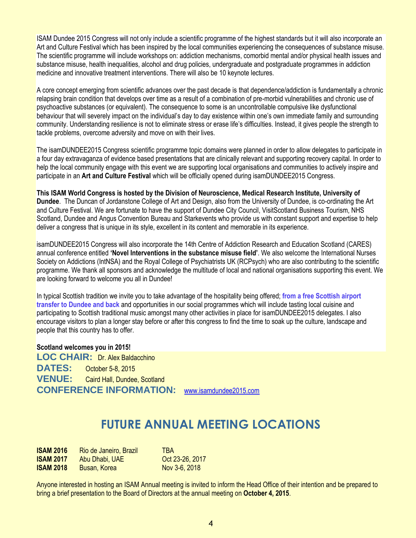ISAM Dundee 2015 Congress will not only include a scientific programme of the highest standards but it will also incorporate an Art and Culture Festival which has been inspired by the local communities experiencing the consequences of substance misuse. The scientific programme will include workshops on: addiction mechanisms, comorbid mental and/or physical health issues and substance misuse, health inequalities, alcohol and drug policies, undergraduate and postgraduate programmes in addiction medicine and innovative treatment interventions. There will also be 10 keynote lectures.

A core concept emerging from scientific advances over the past decade is that dependence/addiction is fundamentally a chronic relapsing brain condition that develops over time as a result of a combination of pre-morbid vulnerabilities and chronic use of psychoactive substances (or equivalent). The consequence to some is an uncontrollable compulsive like dysfunctional behaviour that will severely impact on the individual's day to day existence within one's own immediate family and surrounding community. Understanding resilience is not to eliminate stress or erase life's difficulties. Instead, it gives people the strength to tackle problems, overcome adversity and move on with their lives.

The isamDUNDEE2015 Congress scientific programme topic domains were planned in order to allow delegates to participate in a four day extravaganza of evidence based presentations that are clinically relevant and supporting recovery capital. In order to help the local community engage with this event we are supporting local organisations and communities to actively inspire and participate in an **Art and Culture Festival** which will be officially opened during isamDUNDEE2015 Congress.

**This ISAM World Congress is hosted by the Division of Neuroscience, Medical Research Institute, University of Dundee**. The Duncan of Jordanstone College of Art and Design, also from the University of Dundee, is co-ordinating the Art and Culture Festival. We are fortunate to have the support of Dundee City Council, VisitScotland Business Tourism, NHS Scotland, Dundee and Angus Convention Bureau and Starkevents who provide us with constant support and expertise to help deliver a congress that is unique in its style, excellent in its content and memorable in its experience.

isamDUNDEE2015 Congress will also incorporate the 14th Centre of Addiction Research and Education Scotland (CARES) annual conference entitled **'Novel Interventions in the substance misuse field'**. We also welcome the International Nurses Society on Addictions (IntNSA) and the Royal College of Psychiatrists UK (RCPsych) who are also contributing to the scientific programme. We thank all sponsors and acknowledge the multitude of local and national organisations supporting this event. We are looking forward to welcome you all in Dundee!

In typical Scottish tradition we invite you to take advantage of the hospitality being offered; **from a free Scottish airport transfer to Dundee and back** and opportunities in our social programmes which will include tasting local cuisine and participating to Scottish traditional music amongst many other activities in place for isamDUNDEE2015 delegates. I also encourage visitors to plan a longer stay before or after this congress to find the time to soak up the culture, landscape and people that this country has to offer.

**Scotland welcomes you in 2015!** LOC CHAIR: Dr. Alex Baldacchino **DATES:** October 5-8, 2015 **VENUE:** Caird Hall, Dundee, Scotland **CONFERENCE INFORMATION:** [www.isamdundee2015.com](http://www.isamdundee2015.com/)

### **FUTURE ANNUAL MEETING LOCATIONS**

| <b>ISAM 2016</b> | Rio de Janeiro, Brazil | <b>TRA</b>      |
|------------------|------------------------|-----------------|
| <b>ISAM 2017</b> | Abu Dhabi, UAE         | Oct 23-26, 2017 |
| <b>ISAM 2018</b> | Busan, Korea           | Nov 3-6, 2018   |

Anyone interested in hosting an ISAM Annual meeting is invited to inform the Head Office of their intention and be prepared to bring a brief presentation to the Board of Directors at the annual meeting on **October 4, 2015**.